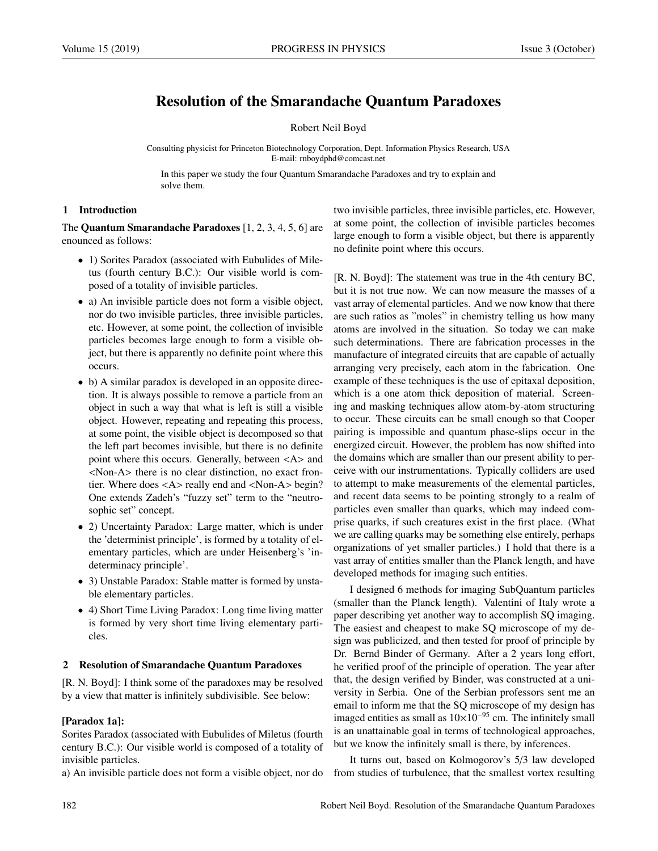# Resolution of the Smarandache Quantum Paradoxes

### Robert Neil Boyd

Consulting physicist for Princeton Biotechnology Corporation, Dept. Information Physics Research, USA E-mail: rnboydphd@comcast.net

In this paper we study the four Quantum Smarandache Paradoxes and try to explain and solve them.

### 1 Introduction

The Quantum Smarandache Paradoxes [1, 2, 3, 4, 5, 6] are enounced as follows:

- 1) Sorites Paradox (associated with Eubulides of Miletus (fourth century B.C.): Our visible world is composed of a totality of invisible particles.
- a) An invisible particle does not form a visible object, nor do two invisible particles, three invisible particles, etc. However, at some point, the collection of invisible particles becomes large enough to form a visible object, but there is apparently no definite point where this occurs.
- b) A similar paradox is developed in an opposite direction. It is always possible to remove a particle from an object in such a way that what is left is still a visible object. However, repeating and repeating this process, at some point, the visible object is decomposed so that the left part becomes invisible, but there is no definite point where this occurs. Generally, between <A> and <Non-A> there is no clear distinction, no exact frontier. Where does <A> really end and <Non-A> begin? One extends Zadeh's "fuzzy set" term to the "neutrosophic set" concept.
- 2) Uncertainty Paradox: Large matter, which is under the 'determinist principle', is formed by a totality of elementary particles, which are under Heisenberg's 'indeterminacy principle'.
- 3) Unstable Paradox: Stable matter is formed by unstable elementary particles.
- 4) Short Time Living Paradox: Long time living matter is formed by very short time living elementary particles.

#### 2 Resolution of Smarandache Quantum Paradoxes

[R. N. Boyd]: I think some of the paradoxes may be resolved by a view that matter is infinitely subdivisible. See below:

# [Paradox 1a]:

Sorites Paradox (associated with Eubulides of Miletus (fourth century B.C.): Our visible world is composed of a totality of invisible particles.

a) An invisible particle does not form a visible object, nor do

two invisible particles, three invisible particles, etc. However, at some point, the collection of invisible particles becomes large enough to form a visible object, but there is apparently no definite point where this occurs.

[R. N. Boyd]: The statement was true in the 4th century BC, but it is not true now. We can now measure the masses of a vast array of elemental particles. And we now know that there are such ratios as "moles" in chemistry telling us how many atoms are involved in the situation. So today we can make such determinations. There are fabrication processes in the manufacture of integrated circuits that are capable of actually arranging very precisely, each atom in the fabrication. One example of these techniques is the use of epitaxal deposition, which is a one atom thick deposition of material. Screening and masking techniques allow atom-by-atom structuring to occur. These circuits can be small enough so that Cooper pairing is impossible and quantum phase-slips occur in the energized circuit. However, the problem has now shifted into the domains which are smaller than our present ability to perceive with our instrumentations. Typically colliders are used to attempt to make measurements of the elemental particles, and recent data seems to be pointing strongly to a realm of particles even smaller than quarks, which may indeed comprise quarks, if such creatures exist in the first place. (What we are calling quarks may be something else entirely, perhaps organizations of yet smaller particles.) I hold that there is a vast array of entities smaller than the Planck length, and have developed methods for imaging such entities.

I designed 6 methods for imaging SubQuantum particles (smaller than the Planck length). Valentini of Italy wrote a paper describing yet another way to accomplish SQ imaging. The easiest and cheapest to make SQ microscope of my design was publicized, and then tested for proof of principle by Dr. Bernd Binder of Germany. After a 2 years long effort, he verified proof of the principle of operation. The year after that, the design verified by Binder, was constructed at a university in Serbia. One of the Serbian professors sent me an email to inform me that the SQ microscope of my design has imaged entities as small as  $10\times10^{-95}$  cm. The infinitely small is an unattainable goal in terms of technological approaches, but we know the infinitely small is there, by inferences.

It turns out, based on Kolmogorov's 5/3 law developed from studies of turbulence, that the smallest vortex resulting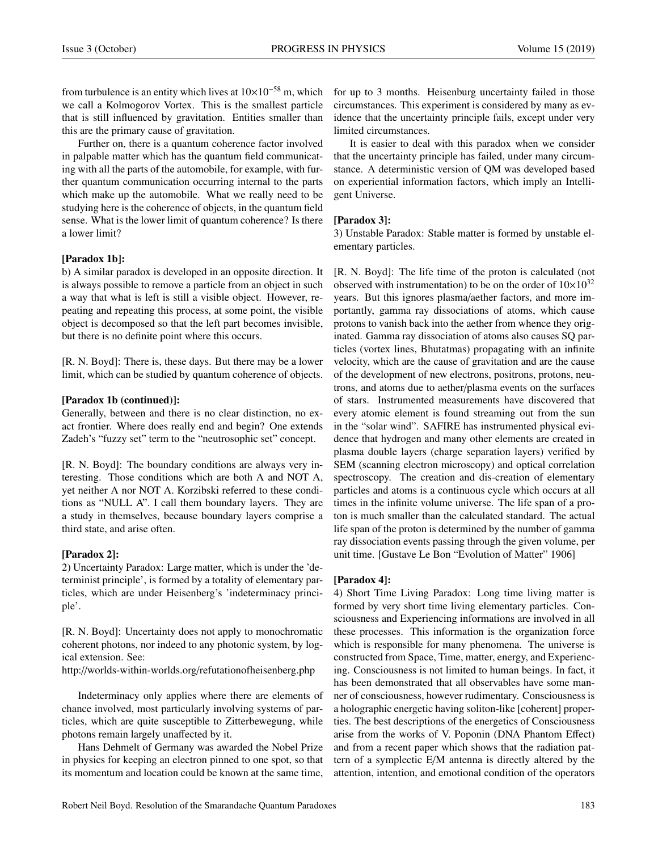from turbulence is an entity which lives at  $10\times10^{-58}$  m, which we call a Kolmogorov Vortex. This is the smallest particle that is still influenced by gravitation. Entities smaller than this are the primary cause of gravitation.

Further on, there is a quantum coherence factor involved in palpable matter which has the quantum field communicating with all the parts of the automobile, for example, with further quantum communication occurring internal to the parts which make up the automobile. What we really need to be studying here is the coherence of objects, in the quantum field sense. What is the lower limit of quantum coherence? Is there a lower limit?

#### [Paradox 1b]:

b) A similar paradox is developed in an opposite direction. It is always possible to remove a particle from an object in such a way that what is left is still a visible object. However, repeating and repeating this process, at some point, the visible object is decomposed so that the left part becomes invisible, but there is no definite point where this occurs.

[R. N. Boyd]: There is, these days. But there may be a lower limit, which can be studied by quantum coherence of objects.

### [Paradox 1b (continued)]:

Generally, between and there is no clear distinction, no exact frontier. Where does really end and begin? One extends Zadeh's "fuzzy set" term to the "neutrosophic set" concept.

[R. N. Boyd]: The boundary conditions are always very interesting. Those conditions which are both A and NOT A, yet neither A nor NOT A. Korzibski referred to these conditions as "NULL A". I call them boundary layers. They are a study in themselves, because boundary layers comprise a third state, and arise often.

# [Paradox 2]:

2) Uncertainty Paradox: Large matter, which is under the 'determinist principle', is formed by a totality of elementary particles, which are under Heisenberg's 'indeterminacy principle'.

[R. N. Boyd]: Uncertainty does not apply to monochromatic coherent photons, nor indeed to any photonic system, by logical extension. See:

http://worlds-within-worlds.org/refutationofheisenberg.php

Indeterminacy only applies where there are elements of chance involved, most particularly involving systems of particles, which are quite susceptible to Zitterbewegung, while photons remain largely unaffected by it.

Hans Dehmelt of Germany was awarded the Nobel Prize in physics for keeping an electron pinned to one spot, so that its momentum and location could be known at the same time,

for up to 3 months. Heisenburg uncertainty failed in those circumstances. This experiment is considered by many as evidence that the uncertainty principle fails, except under very limited circumstances.

It is easier to deal with this paradox when we consider that the uncertainty principle has failed, under many circumstance. A deterministic version of QM was developed based on experiential information factors, which imply an Intelligent Universe.

# [Paradox 3]:

3) Unstable Paradox: Stable matter is formed by unstable elementary particles.

[R. N. Boyd]: The life time of the proton is calculated (not observed with instrumentation) to be on the order of  $10\times10^{32}$ years. But this ignores plasma/aether factors, and more importantly, gamma ray dissociations of atoms, which cause protons to vanish back into the aether from whence they originated. Gamma ray dissociation of atoms also causes SQ particles (vortex lines, Bhutatmas) propagating with an infinite velocity, which are the cause of gravitation and are the cause of the development of new electrons, positrons, protons, neutrons, and atoms due to aether/plasma events on the surfaces of stars. Instrumented measurements have discovered that every atomic element is found streaming out from the sun in the "solar wind". SAFIRE has instrumented physical evidence that hydrogen and many other elements are created in plasma double layers (charge separation layers) verified by SEM (scanning electron microscopy) and optical correlation spectroscopy. The creation and dis-creation of elementary particles and atoms is a continuous cycle which occurs at all times in the infinite volume universe. The life span of a proton is much smaller than the calculated standard. The actual life span of the proton is determined by the number of gamma ray dissociation events passing through the given volume, per unit time. [Gustave Le Bon "Evolution of Matter" 1906]

#### [Paradox 4]:

4) Short Time Living Paradox: Long time living matter is formed by very short time living elementary particles. Consciousness and Experiencing informations are involved in all these processes. This information is the organization force which is responsible for many phenomena. The universe is constructed from Space, Time, matter, energy, and Experiencing. Consciousness is not limited to human beings. In fact, it has been demonstrated that all observables have some manner of consciousness, however rudimentary. Consciousness is a holographic energetic having soliton-like [coherent] properties. The best descriptions of the energetics of Consciousness arise from the works of V. Poponin (DNA Phantom Effect) and from a recent paper which shows that the radiation pattern of a symplectic E/M antenna is directly altered by the attention, intention, and emotional condition of the operators